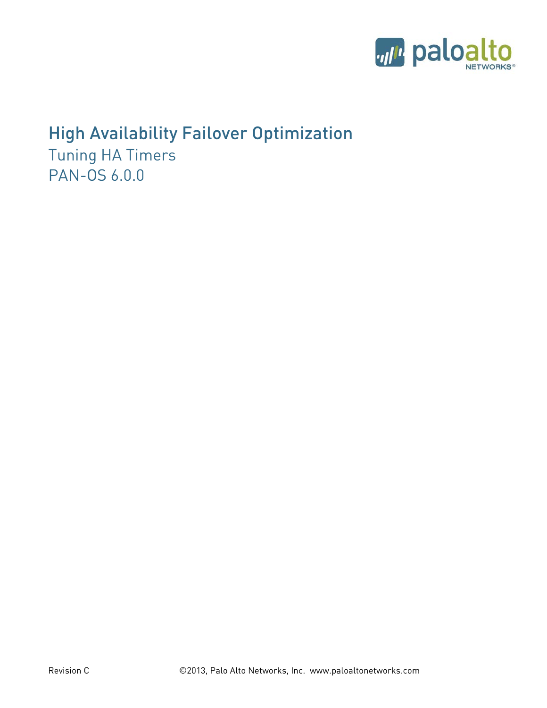

# High Availability Failover Optimization

Tuning HA Timers PAN-OS 6.0.0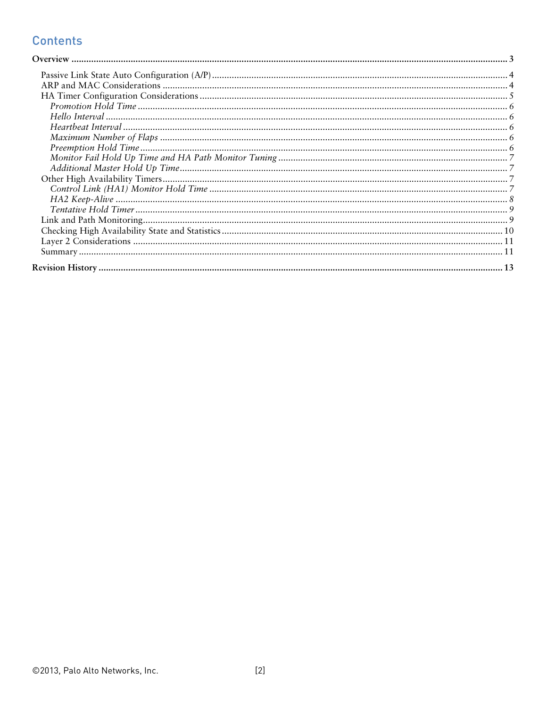# **Contents**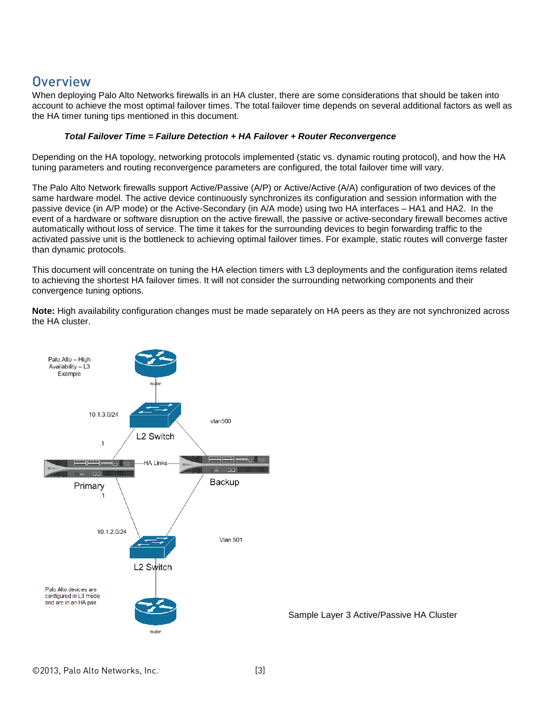# <span id="page-2-0"></span>**Overview**

When deploying Palo Alto Networks firewalls in an HA cluster, there are some considerations that should be taken into account to achieve the most optimal failover times. The total failover time depends on several additional factors as well as the HA timer tuning tips mentioned in this document.

#### *Total Failover Time = Failure Detection + HA Failover + Router Reconvergence*

Depending on the HA topology, networking protocols implemented (static vs. dynamic routing protocol), and how the HA tuning parameters and routing reconvergence parameters are configured, the total failover time will vary.

The Palo Alto Network firewalls support Active/Passive (A/P) or Active/Active (A/A) configuration of two devices of the same hardware model. The active device continuously synchronizes its configuration and session information with the passive device (in A/P mode) or the Active-Secondary (in A/A mode) using two HA interfaces – HA1 and HA2. In the event of a hardware or software disruption on the active firewall, the passive or active-secondary firewall becomes active automatically without loss of service. The time it takes for the surrounding devices to begin forwarding traffic to the activated passive unit is the bottleneck to achieving optimal failover times. For example, static routes will converge faster than dynamic protocols.

This document will concentrate on tuning the HA election timers with L3 deployments and the configuration items related to achieving the shortest HA failover times. It will not consider the surrounding networking components and their convergence tuning options.

**Note:** High availability configuration changes must be made separately on HA peers as they are not synchronized across the HA cluster.

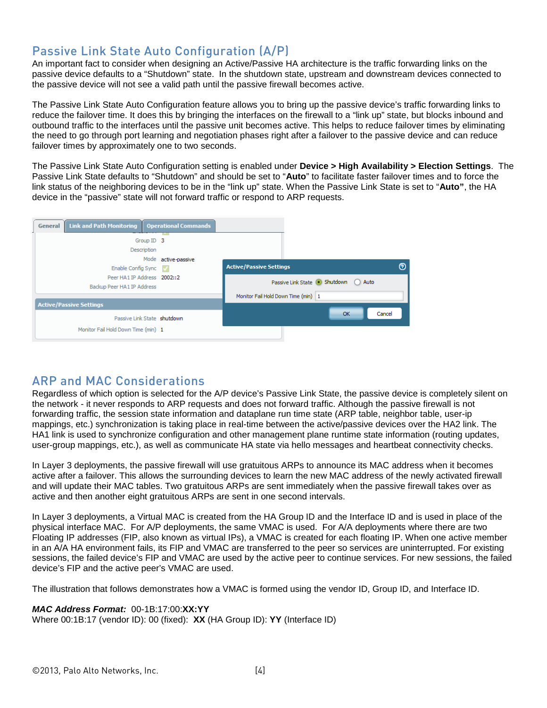## <span id="page-3-0"></span>Passive Link State Auto Configuration (A/P)

An important fact to consider when designing an Active/Passive HA architecture is the traffic forwarding links on the passive device defaults to a "Shutdown" state. In the shutdown state, upstream and downstream devices connected to the passive device will not see a valid path until the passive firewall becomes active.

The Passive Link State Auto Configuration feature allows you to bring up the passive device's traffic forwarding links to reduce the failover time. It does this by bringing the interfaces on the firewall to a "link up" state, but blocks inbound and outbound traffic to the interfaces until the passive unit becomes active. This helps to reduce failover times by eliminating the need to go through port learning and negotiation phases right after a failover to the passive device and can reduce failover times by approximately one to two seconds.

The Passive Link State Auto Configuration setting is enabled under **Device > High Availability > Election Settings**. The Passive Link State defaults to "Shutdown" and should be set to "**Auto**" to facilitate faster failover times and to force the link status of the neighboring devices to be in the "link up" state. When the Passive Link State is set to "**Auto"**, the HA device in the "passive" state will not forward traffic or respond to ARP requests.



### <span id="page-3-1"></span>ARP and MAC Considerations

Regardless of which option is selected for the A/P device's Passive Link State, the passive device is completely silent on the network - it never responds to ARP requests and does not forward traffic. Although the passive firewall is not forwarding traffic, the session state information and dataplane run time state (ARP table, neighbor table, user-ip mappings, etc.) synchronization is taking place in real-time between the active/passive devices over the HA2 link. The HA1 link is used to synchronize configuration and other management plane runtime state information (routing updates, user-group mappings, etc.), as well as communicate HA state via hello messages and heartbeat connectivity checks.

In Layer 3 deployments, the passive firewall will use gratuitous ARPs to announce its MAC address when it becomes active after a failover. This allows the surrounding devices to learn the new MAC address of the newly activated firewall and will update their MAC tables. Two gratuitous ARPs are sent immediately when the passive firewall takes over as active and then another eight gratuitous ARPs are sent in one second intervals.

In Layer 3 deployments, a Virtual MAC is created from the HA Group ID and the Interface ID and is used in place of the physical interface MAC. For A/P deployments, the same VMAC is used. For A/A deployments where there are two Floating IP addresses (FIP, also known as virtual IPs), a VMAC is created for each floating IP. When one active member in an A/A HA environment fails, its FIP and VMAC are transferred to the peer so services are uninterrupted. For existing sessions, the failed device's FIP and VMAC are used by the active peer to continue services. For new sessions, the failed device's FIP and the active peer's VMAC are used.

The illustration that follows demonstrates how a VMAC is formed using the vendor ID, Group ID, and Interface ID.

#### *MAC Address Format:* 00-1B:17:00:**XX:YY**

Where 00:1B:17 (vendor ID): 00 (fixed): **XX** (HA Group ID): **YY** (Interface ID)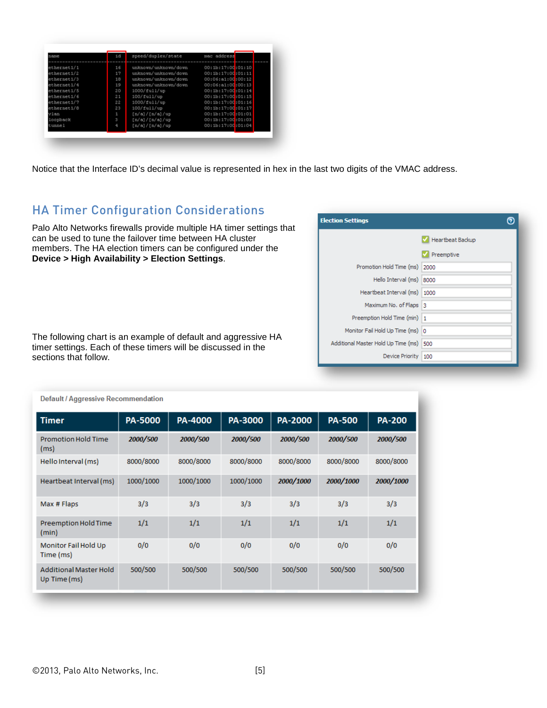| name        | id | speed/duplex/state   | mac address       |
|-------------|----|----------------------|-------------------|
|             |    |                      |                   |
| ethernet1/1 | 16 | unknown/unknown/down | 00:1b:17:00:01:10 |
| ethernet1/2 | 17 | unknown/unknown/down | 00:1b:17:00:01:11 |
| ethernet1/3 | 18 | unknown/unknown/down | 00:06:a1:00:00:12 |
| ethernet1/4 | 19 | unknown/unknown/down | 00:06:a1:00:00:13 |
| ethernet1/5 | 20 | 1000/full/up         | 00:1b:17:00:01:14 |
| ethernet1/6 | 21 | 100/full/up          | 00:1b:17:00:01:15 |
| ethernet1/7 | 22 | 1000/full/up         | 00:1b:17:00:01:16 |
| ethernet1/8 | 23 | 100/full/up          | 00:1b:17:00:01:17 |
| vlan        | 1  | [n/a]/[n/a]/up       | 00:1b:17:00:01:01 |
| loopback    | 3  | [n/a]/[n/a]/up       | 00:1b:17:00:01:03 |
| tunnel      | 4  | [n/a]/[n/a]/up       | 00:1b:17:00:01:04 |

Notice that the Interface ID's decimal value is represented in hex in the last two digits of the VMAC address.

# <span id="page-4-0"></span>HA Timer Configuration Considerations

Palo Alto Networks firewalls provide multiple HA timer settings that can be used to tune the failover time between HA cluster members. The HA election timers can be configured under the **Device > High Availability > Election Settings**.

The following chart is an example of default and aggressive HA timer settings. Each of these timers will be discussed in the sections that follow.

| <b>Election Settings</b>            |                  |
|-------------------------------------|------------------|
|                                     | Heartbeat Backup |
|                                     | Preemptive       |
| Promotion Hold Time (ms)            | 2000             |
| Hello Interval (ms)                 | 18000            |
| Heartbeat Interval (ms)             | 1000             |
| Maximum No. of Flaps 3              |                  |
| Preemption Hold Time (min)          | 1                |
| Monitor Fail Hold Up Time (ms)      | 10               |
| Additional Master Hold Up Time (ms) | 500              |
| Device Priority                     | 100              |

| <b>Timer</b>                                  | PA-5000   | PA-4000   | PA-3000   | PA-2000   | <b>PA-500</b> | <b>PA-200</b> |
|-----------------------------------------------|-----------|-----------|-----------|-----------|---------------|---------------|
| <b>Promotion Hold Time</b><br>(ms)            | 2000/500  | 2000/500  | 2000/500  | 2000/500  | 2000/500      | 2000/500      |
| Hello Interval (ms)                           | 8000/8000 | 8000/8000 | 8000/8000 | 8000/8000 | 8000/8000     | 8000/8000     |
| Heartbeat Interval (ms)                       | 1000/1000 | 1000/1000 | 1000/1000 | 2000/1000 | 2000/1000     | 2000/1000     |
| Max # Flaps                                   | 3/3       | 3/3       | 3/3       | 3/3       | 3/3           | 3/3           |
| Preemption Hold Time<br>(min)                 | 1/1       | 1/1       | 1/1       | 1/1       | 1/1           | 1/1           |
| Monitor Fail Hold Up<br>Time (ms)             | 0/0       | 0/0       | 0/0       | 0/0       | 0/0           | 0/0           |
| <b>Additional Master Hold</b><br>Up Time (ms) | 500/500   | 500/500   | 500/500   | 500/500   | 500/500       | 500/500       |

Default / Aggressive Recommendation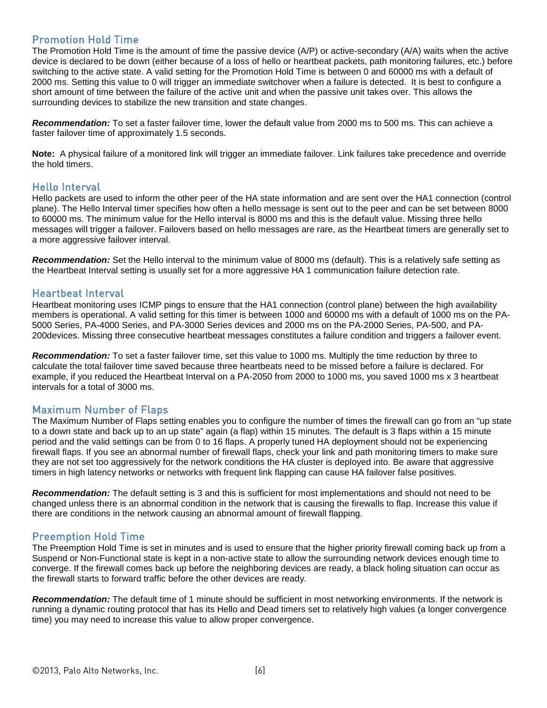### <span id="page-5-0"></span>Promotion Hold Time

The Promotion Hold Time is the amount of time the passive device (A/P) or active-secondary (A/A) waits when the active device is declared to be down (either because of a loss of hello or heartbeat packets, path monitoring failures, etc.) before switching to the active state. A valid setting for the Promotion Hold Time is between 0 and 60000 ms with a default of 2000 ms. Setting this value to 0 will trigger an immediate switchover when a failure is detected. It is best to configure a short amount of time between the failure of the active unit and when the passive unit takes over. This allows the surrounding devices to stabilize the new transition and state changes.

*Recommendation:* To set a faster failover time, lower the default value from 2000 ms to 500 ms. This can achieve a faster failover time of approximately 1.5 seconds.

**Note:** A physical failure of a monitored link will trigger an immediate failover. Link failures take precedence and override the hold timers.

#### <span id="page-5-1"></span>Hello Interval

Hello packets are used to inform the other peer of the HA state information and are sent over the HA1 connection (control plane). The Hello Interval timer specifies how often a hello message is sent out to the peer and can be set between 8000 to 60000 ms. The minimum value for the Hello interval is 8000 ms and this is the default value. Missing three hello messages will trigger a failover. Failovers based on hello messages are rare, as the Heartbeat timers are generally set to a more aggressive failover interval.

*Recommendation:* Set the Hello interval to the minimum value of 8000 ms (default). This is a relatively safe setting as the Heartbeat Interval setting is usually set for a more aggressive HA 1 communication failure detection rate.

#### <span id="page-5-2"></span>Heartbeat Interval

Heartbeat monitoring uses ICMP pings to ensure that the HA1 connection (control plane) between the high availability members is operational. A valid setting for this timer is between 1000 and 60000 ms with a default of 1000 ms on the PA-5000 Series, PA-4000 Series, and PA-3000 Series devices and 2000 ms on the PA-2000 Series, PA-500, and PA-200devices. Missing three consecutive heartbeat messages constitutes a failure condition and triggers a failover event.

*Recommendation:* To set a faster failover time, set this value to 1000 ms. Multiply the time reduction by three to calculate the total failover time saved because three heartbeats need to be missed before a failure is declared. For example, if you reduced the Heartbeat Interval on a PA-2050 from 2000 to 1000 ms, you saved 1000 ms x 3 heartbeat intervals for a total of 3000 ms.

### <span id="page-5-3"></span>Maximum Number of Flaps

The Maximum Number of Flaps setting enables you to configure the number of times the firewall can go from an "up state to a down state and back up to an up state" again (a flap) within 15 minutes. The default is 3 flaps within a 15 minute period and the valid settings can be from 0 to 16 flaps. A properly tuned HA deployment should not be experiencing firewall flaps. If you see an abnormal number of firewall flaps, check your link and path monitoring timers to make sure they are not set too aggressively for the network conditions the HA cluster is deployed into. Be aware that aggressive timers in high latency networks or networks with frequent link flapping can cause HA failover false positives.

*Recommendation:* The default setting is 3 and this is sufficient for most implementations and should not need to be changed unless there is an abnormal condition in the network that is causing the firewalls to flap. Increase this value if there are conditions in the network causing an abnormal amount of firewall flapping.

#### <span id="page-5-4"></span>Preemption Hold Time

The Preemption Hold Time is set in minutes and is used to ensure that the higher priority firewall coming back up from a Suspend or Non-Functional state is kept in a non-active state to allow the surrounding network devices enough time to converge. If the firewall comes back up before the neighboring devices are ready, a black holing situation can occur as the firewall starts to forward traffic before the other devices are ready.

*Recommendation:* The default time of 1 minute should be sufficient in most networking environments. If the network is running a dynamic routing protocol that has its Hello and Dead timers set to relatively high values (a longer convergence time) you may need to increase this value to allow proper convergence.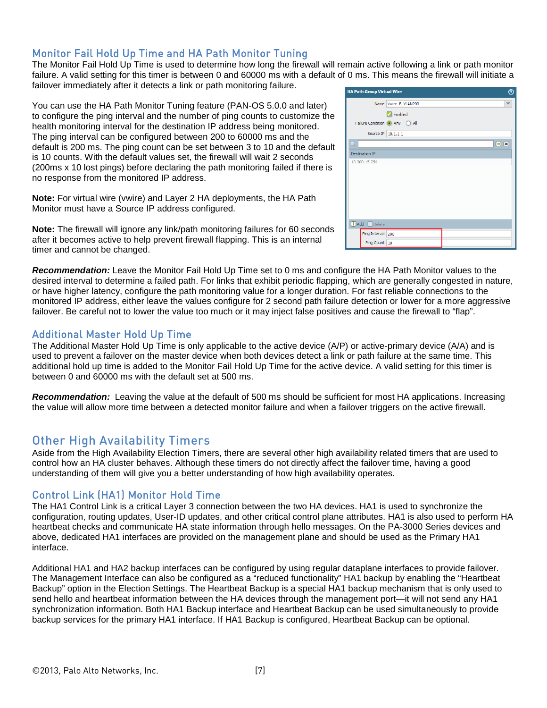### <span id="page-6-0"></span>Monitor Fail Hold Up Time and HA Path Monitor Tuning

The Monitor Fail Hold Up Time is used to determine how long the firewall will remain active following a link or path monitor failure. A valid setting for this timer is between 0 and 60000 ms with a default of 0 ms. This means the firewall will initiate a failover immediately after it detects a link or path monitoring failure.

You can use the HA Path Monitor Tuning feature (PAN-OS 5.0.0 and later) to configure the ping interval and the number of ping counts to customize the health monitoring interval for the destination IP address being monitored. The ping interval can be configured between 200 to 60000 ms and the default is 200 ms. The ping count can be set between 3 to 10 and the default is 10 counts. With the default values set, the firewall will wait 2 seconds (200ms x 10 lost pings) before declaring the path monitoring failed if there is no response from the monitored IP address.

**Note:** For virtual wire (vwire) and Layer 2 HA deployments, the HA Path Monitor must have a Source IP address configured.

**Note:** The firewall will ignore any link/path monitoring failures for 60 seconds after it becomes active to help prevent firewall flapping. This is an internal timer and cannot be changed.

|                              | Name Vwire B VLAN200         | $\blacktriangledown$      |
|------------------------------|------------------------------|---------------------------|
|                              | <b>M</b> Enabled             |                           |
|                              | Failure Condition • Any  all |                           |
| Source IP 10.1.1.1           |                              |                           |
| Q                            |                              | $\mathbf{B}$ $\mathbf{R}$ |
| <b>Destination IP</b>        |                              |                           |
| 10.200.15.254                |                              |                           |
|                              |                              |                           |
|                              |                              |                           |
|                              |                              |                           |
|                              |                              |                           |
|                              |                              |                           |
|                              |                              |                           |
|                              |                              |                           |
|                              |                              |                           |
|                              |                              |                           |
| <b>+</b> Add <b>-</b> Delete |                              |                           |
| Ping Interval 200            |                              |                           |

*Recommendation:* Leave the Monitor Fail Hold Up Time set to 0 ms and configure the HA Path Monitor values to the desired interval to determine a failed path. For links that exhibit periodic flapping, which are generally congested in nature, or have higher latency, configure the path monitoring value for a longer duration. For fast reliable connections to the monitored IP address, either leave the values configure for 2 second path failure detection or lower for a more aggressive failover. Be careful not to lower the value too much or it may inject false positives and cause the firewall to "flap".

#### <span id="page-6-1"></span>Additional Master Hold Up Time

The Additional Master Hold Up Time is only applicable to the active device (A/P) or active-primary device (A/A) and is used to prevent a failover on the master device when both devices detect a link or path failure at the same time. This additional hold up time is added to the Monitor Fail Hold Up Time for the active device. A valid setting for this timer is between 0 and 60000 ms with the default set at 500 ms.

*Recommendation:* Leaving the value at the default of 500 ms should be sufficient for most HA applications. Increasing the value will allow more time between a detected monitor failure and when a failover triggers on the active firewall.

### <span id="page-6-2"></span>Other High Availability Timers

Aside from the High Availability Election Timers, there are several other high availability related timers that are used to control how an HA cluster behaves. Although these timers do not directly affect the failover time, having a good understanding of them will give you a better understanding of how high availability operates.

### <span id="page-6-3"></span>Control Link (HA1) Monitor Hold Time

The HA1 Control Link is a critical Layer 3 connection between the two HA devices. HA1 is used to synchronize the configuration, routing updates, User-ID updates, and other critical control plane attributes. HA1 is also used to perform HA heartbeat checks and communicate HA state information through hello messages. On the PA-3000 Series devices and above, dedicated HA1 interfaces are provided on the management plane and should be used as the Primary HA1 interface.

Additional HA1 and HA2 backup interfaces can be configured by using regular dataplane interfaces to provide failover. The Management Interface can also be configured as a "reduced functionality" HA1 backup by enabling the "Heartbeat Backup" option in the Election Settings. The Heartbeat Backup is a special HA1 backup mechanism that is only used to send hello and heartbeat information between the HA devices through the management port—it will not send any HA1 synchronization information. Both HA1 Backup interface and Heartbeat Backup can be used simultaneously to provide backup services for the primary HA1 interface. If HA1 Backup is configured, Heartbeat Backup can be optional.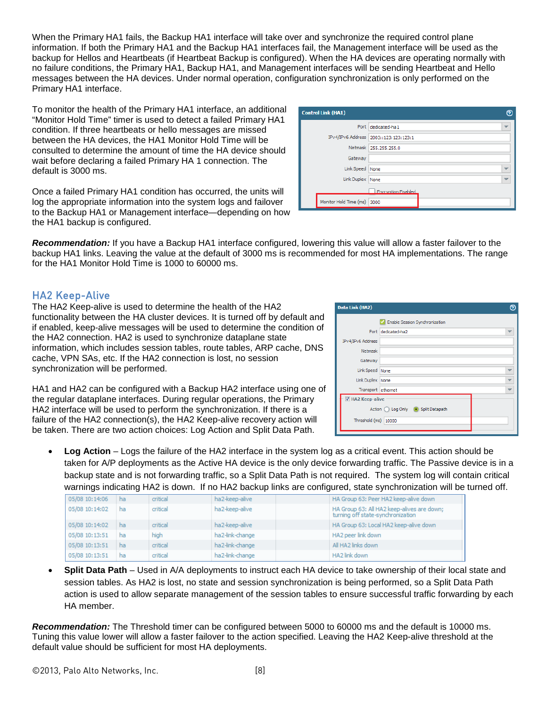When the Primary HA1 fails, the Backup HA1 interface will take over and synchronize the required control plane information. If both the Primary HA1 and the Backup HA1 interfaces fail, the Management interface will be used as the backup for Hellos and Heartbeats (if Heartbeat Backup is configured). When the HA devices are operating normally with no failure conditions, the Primary HA1, Backup HA1, and Management interfaces will be sending Heartbeat and Hello messages between the HA devices. Under normal operation, configuration synchronization is only performed on the Primary HA1 interface.

To monitor the health of the Primary HA1 interface, an additional "Monitor Hold Time" timer is used to detect a failed Primary HA1 condition. If three heartbeats or hello messages are missed between the HA devices, the HA1 Monitor Hold Time will be consulted to determine the amount of time the HA device should wait before declaring a failed Primary HA 1 connection. The default is 3000 ms.

Once a failed Primary HA1 condition has occurred, the units will log the appropriate information into the system logs and failover to the Backup HA1 or Management interface—depending on how the HA1 backup is configured.

| the right backup is computed.                                                                                                 |
|-------------------------------------------------------------------------------------------------------------------------------|
| <b>Recommendation:</b> If you have a Backup HA1 interface configured, lowering this value will allow a faster failover to the |
| backup HA1 links. Leaving the value at the default of 3000 ms is recommended for most HA implementations. The range           |
| for the HA1 Monitor Hold Time is 1000 to 60000 ms.                                                                            |

### <span id="page-7-0"></span>HA2 Keep-Alive

The HA2 Keep-alive is used to determine the health of the HA2 functionality between the HA cluster devices. It is turned off by default and if enabled, keep-alive messages will be used to determine the condition of the HA2 connection. HA2 is used to synchronize dataplane state information, which includes session tables, route tables, ARP cache, DNS cache, VPN SAs, etc. If the HA2 connection is lost, no session synchronization will be performed.

HA1 and HA2 can be configured with a Backup HA2 interface using one of the regular dataplane interfaces. During regular operations, the Primary HA2 interface will be used to perform the synchronization. If there is a failure of the HA2 connection(s), the HA2 Keep-alive recovery action will be taken. There are two action choices: Log Action and Split Data Path.

| Data Link (HA2)         |                                        |  |
|-------------------------|----------------------------------------|--|
|                         | Enable Session Synchronization         |  |
|                         | Port dedicated-ha2                     |  |
| IPv4/IPv6 Address       |                                        |  |
| Netmask                 |                                        |  |
| Gateway                 |                                        |  |
| Link Speed None         |                                        |  |
| Link Duplex None        |                                        |  |
| Transport ethernet      |                                        |  |
| <b>V</b> HA2 Keep-alive |                                        |  |
|                         | Action (C) Log Only (C) Split Datapath |  |
| Threshold (ms)   10000  |                                        |  |
|                         |                                        |  |

• **Log Action** – Logs the failure of the HA2 interface in the system log as a critical event. This action should be taken for A/P deployments as the Active HA device is the only device forwarding traffic. The Passive device is in a backup state and is not forwarding traffic, so a Split Data Path is not required. The system log will contain critical warnings indicating HA2 is down. If no HA2 backup links are configured, state synchronization will be turned off.

| 05/08 10:14:06 | ha | critical | ha2-keep-alive  | HA Group 63: Peer HA2 keep-alive down                                           |
|----------------|----|----------|-----------------|---------------------------------------------------------------------------------|
| 05/08 10:14:02 | ha | critical | ha2-keep-alive  | HA Group 63: All HA2 keep-alives are down;<br>turning off state-synchronization |
| 05/08 10:14:02 | ha | critical | ha2-keep-alive  | HA Group 63: Local HA2 keep-alive down                                          |
| 05/08 10:13:51 | ha | hiah     | ha2-link-change | HA2 peer link down                                                              |
| 05/08 10:13:51 | ha | critical | ha2-link-change | All HA2 links down                                                              |
| 05/08 10:13:51 | ha | critical | ha2-link-change | HA2 link down                                                                   |

• **Split Data Path** – Used in A/A deployments to instruct each HA device to take ownership of their local state and session tables. As HA2 is lost, no state and session synchronization is being performed, so a Split Data Path action is used to allow separate management of the session tables to ensure successful traffic forwarding by each HA member.

*Recommendation:* The Threshold timer can be configured between 5000 to 60000 ms and the default is 10000 ms. Tuning this value lower will allow a faster failover to the action specified. Leaving the HA2 Keep-alive threshold at the default value should be sufficient for most HA deployments.

| <b>Control Link (HA1)</b>   |                                       |                          |
|-----------------------------|---------------------------------------|--------------------------|
|                             | Port dedicated-ha1                    | $\overline{\phantom{a}}$ |
|                             | IPv4/IPv6 Address 2003::123:123:123:1 |                          |
|                             | Netmask 255.255.255.0                 |                          |
| Gateway                     |                                       |                          |
| Link Speed None             |                                       |                          |
| Link Duplex None            |                                       |                          |
|                             | <b>Encryption Enabled</b>             |                          |
| Monitor Hold Time (ms) 3000 |                                       |                          |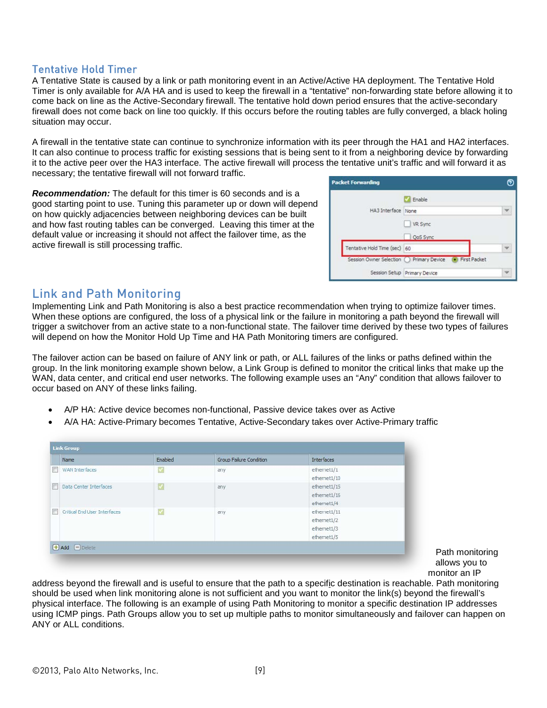### <span id="page-8-0"></span>Tentative Hold Timer

A Tentative State is caused by a link or path monitoring event in an Active/Active HA deployment. The Tentative Hold Timer is only available for A/A HA and is used to keep the firewall in a "tentative" non-forwarding state before allowing it to come back on line as the Active-Secondary firewall. The tentative hold down period ensures that the active-secondary firewall does not come back on line too quickly. If this occurs before the routing tables are fully converged, a black holing situation may occur.

A firewall in the tentative state can continue to synchronize information with its peer through the HA1 and HA2 interfaces. It can also continue to process traffic for existing sessions that is being sent to it from a neighboring device by forwarding it to the active peer over the HA3 interface. The active firewall will process the tentative unit's traffic and will forward it as necessary; the tentative firewall will not forward traffic.

*Recommendation:* The default for this timer is 60 seconds and is a good starting point to use. Tuning this parameter up or down will depend on how quickly adjacencies between neighboring devices can be built and how fast routing tables can be converged. Leaving this timer at the default value or increasing it should not affect the failover time, as the active firewall is still processing traffic.

|                              | Enable                                                      |  |
|------------------------------|-------------------------------------------------------------|--|
| HA3 Interface None           |                                                             |  |
|                              | <b>VR Sync</b><br>QoS Sync                                  |  |
| Tentative Hold Time (sec) 60 |                                                             |  |
|                              | Session Owner Selection ( ) Primary Device ( ) First Packet |  |
|                              | Session Setup Primary Device                                |  |

### <span id="page-8-1"></span>Link and Path Monitoring

Implementing Link and Path Monitoring is also a best practice recommendation when trying to optimize failover times. When these options are configured, the loss of a physical link or the failure in monitoring a path beyond the firewall will trigger a switchover from an active state to a non-functional state. The failover time derived by these two types of failures will depend on how the Monitor Hold Up Time and HA Path Monitoring timers are configured.

The failover action can be based on failure of ANY link or path, or ALL failures of the links or paths defined within the group. In the link monitoring example shown below, a Link Group is defined to monitor the critical links that make up the WAN, data center, and critical end user networks. The following example uses an "Any" condition that allows failover to occur based on ANY of these links failing.

- A/P HA: Active device becomes non-functional, Passive device takes over as Active
- A/A HA: Active-Primary becomes Tentative, Active-Secondary takes over Active-Primary traffic

| Name                              | Enabled       | Group Failure Condition | Interfaces   |
|-----------------------------------|---------------|-------------------------|--------------|
| <b>WAN Interfaces</b><br>Æ        | V             | any                     | ethernet1/1  |
|                                   |               |                         | ethernet1/10 |
| Data Center Interfaces<br>۳       | $\mathcal{A}$ | any                     | ethernet1/15 |
|                                   |               |                         | ethernet1/16 |
|                                   |               |                         | ethernet1/4  |
| Critical End User Interfaces<br>г | $\checkmark$  | any                     | ethernet1/11 |
|                                   |               |                         | ethernet1/2  |
|                                   |               |                         | ethernet1/3  |
|                                   |               |                         | ethernet1/5  |

Path monitoring allows you to monitor an IP

address beyond the firewall and is useful to ensure that the path to a specific destination is reachable. Path monitoring should be used when link monitoring alone is not sufficient and you want to monitor the link(s) beyond the firewall's physical interface. The following is an example of using Path Monitoring to monitor a specific destination IP addresses using ICMP pings. Path Groups allow you to set up multiple paths to monitor simultaneously and failover can happen on ANY or ALL conditions.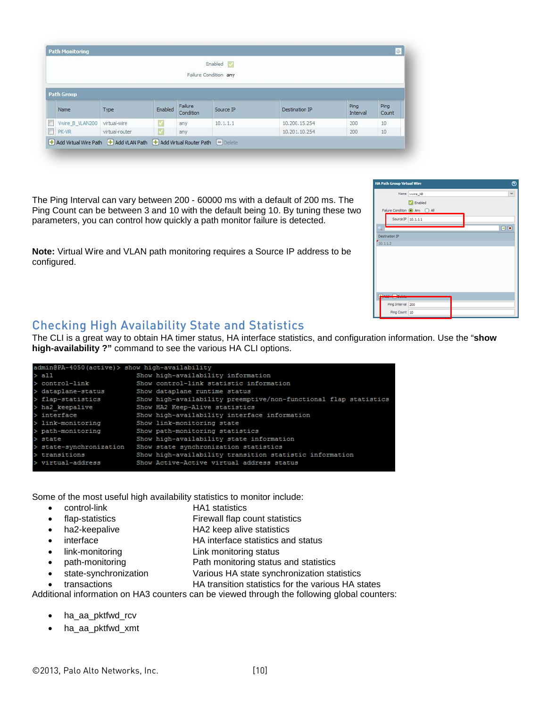|                              |      |         |                      | Enabled V<br>Failure Condition any |                |                  |               |
|------------------------------|------|---------|----------------------|------------------------------------|----------------|------------------|---------------|
| <b>Path Group</b>            |      |         |                      |                                    |                |                  |               |
| Name                         | Type | Enabled | Failure<br>Condition | Source IP                          | Destination IP | Ping<br>Interval | Ping<br>Count |
|                              |      |         | any                  | 10.1.1.1                           | 10.200.15.254  | 200              | 10            |
| Vwire B VLAN200 virtual-wire |      |         |                      |                                    | 10.201.10.254  |                  | 10            |

The Ping Interval can vary between 200 - 60000 ms with a default of 200 ms. The Ping Count can be between 3 and 10 with the default being 10. By tuning these two parameters, you can control how quickly a path monitor failure is detected.

**Note:** Virtual Wire and VLAN path monitoring requires a Source IP address to be configured.

| $\odot$<br><b>HA Path Group Virtual Wire</b> |                    |                               |  |  |        |  |  |
|----------------------------------------------|--------------------|-------------------------------|--|--|--------|--|--|
|                                              |                    | Name vwire_AB                 |  |  |        |  |  |
|                                              |                    | Enabled                       |  |  |        |  |  |
|                                              |                    | Failure Condition ( Any ) All |  |  |        |  |  |
|                                              | Source IP 10.1.1.1 |                               |  |  |        |  |  |
|                                              |                    |                               |  |  | $\Box$ |  |  |
|                                              | Destination IP     |                               |  |  |        |  |  |
|                                              | 10.1.1.2           |                               |  |  |        |  |  |
|                                              |                    |                               |  |  |        |  |  |
|                                              |                    |                               |  |  |        |  |  |
|                                              |                    |                               |  |  |        |  |  |
|                                              |                    |                               |  |  |        |  |  |
|                                              |                    |                               |  |  |        |  |  |
| $1 - 1$                                      |                    |                               |  |  |        |  |  |
|                                              |                    |                               |  |  |        |  |  |
|                                              | Ping Interval 200  |                               |  |  |        |  |  |
|                                              | Ping Count 10      |                               |  |  |        |  |  |

## <span id="page-9-0"></span>Checking High Availability State and Statistics

The CLI is a great way to obtain HA timer status, HA interface statistics, and configuration information. Use the "**show high-availability ?"** command to see the various HA CLI options.

| admin@PA-4050(active)> show high-availability |  |                                                                  |  |  |
|-----------------------------------------------|--|------------------------------------------------------------------|--|--|
| $>$ all                                       |  | Show high-availability information                               |  |  |
| $>$ control-link                              |  | Show control-link statistic information                          |  |  |
| > dataplane-status                            |  | Show dataplane runtime status                                    |  |  |
| > flap-statistics                             |  | Show high-availability preemptive/non-functional flap statistics |  |  |
| > ha2 keepalive                               |  | Show HA2 Keep-Alive statistics                                   |  |  |
| $>$ interface                                 |  | Show high-availability interface information                     |  |  |
| $>$ link-monitoring                           |  | Show link-monitoring state                                       |  |  |
| > path-monitoring                             |  | Show path-monitoring statistics                                  |  |  |
| $>$ state                                     |  | Show high-availability state information                         |  |  |
| > state-synchronization                       |  | Show state synchronization statistics                            |  |  |
| $>$ transitions                               |  | Show high-availability transition statistic information          |  |  |
| $>$ virtual-address                           |  | Show Active-Active virtual address status                        |  |  |

Some of the most useful high availability statistics to monitor include:

- control-link HA1 statistics
- flap-statistics **Firewall flap count statistics**
- ha2-keepalive **HA2** keep alive statistics
- interface HA interface statistics and status
- link-monitoring Link monitoring status
- path-monitoring **Path monitoring status and statistics**
- state-synchronization Various HA state synchronization statistics
- transactions HA transition statistics for the various HA states

Additional information on HA3 counters can be viewed through the following global counters:

- ha aa pktfwd rcv
- ha aa pktfwd xmt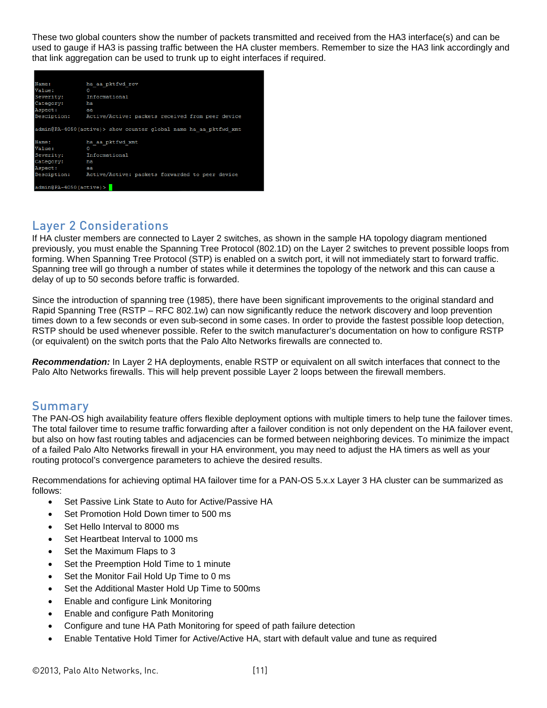These two global counters show the number of packets transmitted and received from the HA3 interface(s) and can be used to gauge if HA3 is passing traffic between the HA cluster members. Remember to size the HA3 link accordingly and that link aggregation can be used to trunk up to eight interfaces if required.

| Name:                                                                                         | ha aa pktfwd rcv                                             |  |  |  |  |
|-----------------------------------------------------------------------------------------------|--------------------------------------------------------------|--|--|--|--|
| Value:                                                                                        | $\circ$                                                      |  |  |  |  |
| Severity: Informational                                                                       |                                                              |  |  |  |  |
| Category: ha                                                                                  |                                                              |  |  |  |  |
| Aspect:<br><b>aa</b>                                                                          |                                                              |  |  |  |  |
|                                                                                               | Desciption: Active/Active: packets received from peer device |  |  |  |  |
| admin@PA-4050(active)> show counter global name ha aa pktfwd xmt<br>Name:<br>ha aa pktfwd xmt |                                                              |  |  |  |  |
| Value:                                                                                        | $\Omega$                                                     |  |  |  |  |
| Severity: Informational                                                                       |                                                              |  |  |  |  |
| Category: ha                                                                                  |                                                              |  |  |  |  |
| Aspect:<br>a a a                                                                              |                                                              |  |  |  |  |
|                                                                                               | Desciption: Active/Active: packets forwarded to peer device  |  |  |  |  |
|                                                                                               |                                                              |  |  |  |  |
| $admin@PA-4050 (active)$                                                                      |                                                              |  |  |  |  |

# <span id="page-10-0"></span>Layer 2 Considerations

If HA cluster members are connected to Layer 2 switches, as shown in the sample HA topology diagram mentioned previously, you must enable the Spanning Tree Protocol (802.1D) on the Layer 2 switches to prevent possible loops from forming. When Spanning Tree Protocol (STP) is enabled on a switch port, it will not immediately start to forward traffic. Spanning tree will go through a number of states while it determines the topology of the network and this can cause a delay of up to 50 seconds before traffic is forwarded.

Since the introduction of spanning tree (1985), there have been significant improvements to the original standard and Rapid Spanning Tree (RSTP – RFC 802.1w) can now significantly reduce the network discovery and loop prevention times down to a few seconds or even sub-second in some cases. In order to provide the fastest possible loop detection, RSTP should be used whenever possible. Refer to the switch manufacturer's documentation on how to configure RSTP (or equivalent) on the switch ports that the Palo Alto Networks firewalls are connected to.

*Recommendation:* In Layer 2 HA deployments, enable RSTP or equivalent on all switch interfaces that connect to the Palo Alto Networks firewalls. This will help prevent possible Layer 2 loops between the firewall members.

### <span id="page-10-1"></span>Summary

The PAN-OS high availability feature offers flexible deployment options with multiple timers to help tune the failover times. The total failover time to resume traffic forwarding after a failover condition is not only dependent on the HA failover event, but also on how fast routing tables and adjacencies can be formed between neighboring devices. To minimize the impact of a failed Palo Alto Networks firewall in your HA environment, you may need to adjust the HA timers as well as your routing protocol's convergence parameters to achieve the desired results.

Recommendations for achieving optimal HA failover time for a PAN-OS 5.x.x Layer 3 HA cluster can be summarized as follows:

- Set Passive Link State to Auto for Active/Passive HA
- Set Promotion Hold Down timer to 500 ms
- Set Hello Interval to 8000 ms
- Set Heartbeat Interval to 1000 ms
- Set the Maximum Flaps to 3
- Set the Preemption Hold Time to 1 minute
- Set the Monitor Fail Hold Up Time to 0 ms
- Set the Additional Master Hold Up Time to 500ms
- Enable and configure Link Monitoring
- Enable and configure Path Monitoring
- Configure and tune HA Path Monitoring for speed of path failure detection
- Enable Tentative Hold Timer for Active/Active HA, start with default value and tune as required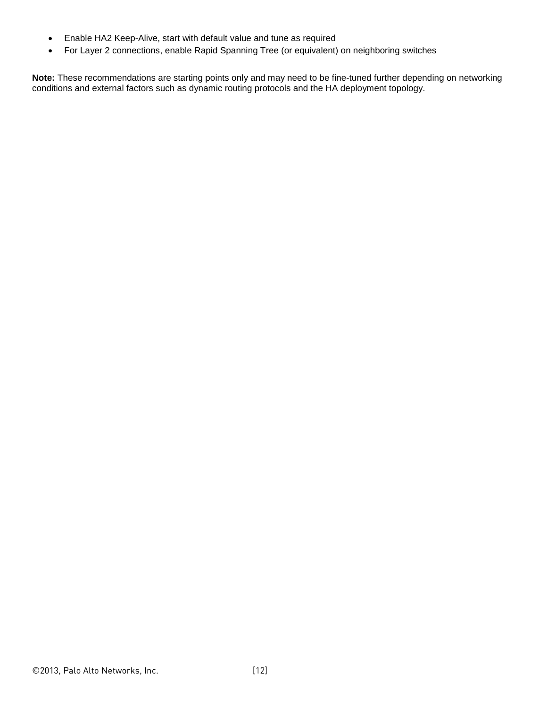- Enable HA2 Keep-Alive, start with default value and tune as required
- For Layer 2 connections, enable Rapid Spanning Tree (or equivalent) on neighboring switches

**Note:** These recommendations are starting points only and may need to be fine-tuned further depending on networking conditions and external factors such as dynamic routing protocols and the HA deployment topology.